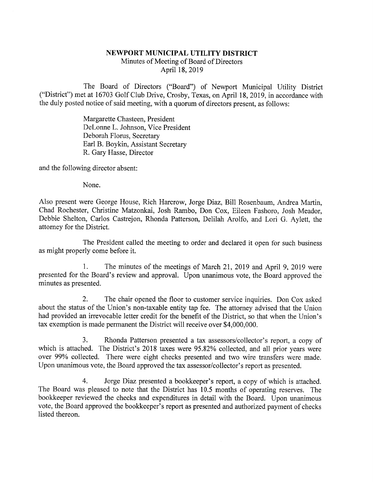## NEWPORT MUNICIPAL UTILITY DISTRICT Minutes of Meeting of Board of Directors April 18, 2019

The Board of Directors ("Board") of Newport Municipal Utility District ("District") met at 16703 Golf Club Drive, Crosby, Texas, on April 18, 2019, in accordance with the duly posted notice of said meeting, with a quorum of directors present, as follows:

> Margarette Chasteen, President DeLonne L. Johnson, Vice President Deborah Floms, Secretary Earl B. Boykin, Assistant Secretary R. Gary Hasse, Director

and the following director absent:

None.

Also present were George House, Rich Harcrow, Jorge Diaz, Bill Rosenbaum, Andrea Martin, Chad Rochester, Christine Matzonkai, Josh Rambo, Don Cox, Eileen Fashoro, Josh Meador, Debbie Shelton, Carlos Castrejon, Rhonda Patterson, Delilah Arolfo, and Lori G. Aylett, the attorney for the District.

The President called the meeting to order and declared it open for such business as might properly come before it.

1. The minutes of the meetings of March 21, 2019 and April 9, 2019 were presented for the Board's review and approval. Upon unanimous vote, the Board approved the minutes as presented.

2. The chair opened the floor to customer service inquiries. Don Cox asked about the status of the Union's non-taxable entity tap fee. The attorney advised that the Union had provided an irrevocable letter credit for the benefit of the District, so that when the Union's tax exemption is made permanent the District will receive over \$4,000,000.

3. Rhonda Patterson presented a tax assessors/collector's report, a copy of which is attached. The District's 2018 taxes were 95.82% collected, and all prior years were over 99% collected. There were eight checks presented and two wire transfers were made. Upon unanimous vote, the Board approved the tax assessor/collector's report as presented.

4. Jorge Diaz presented a bookkeeper's report, a copy of which is attached. The Board was pleased to note that the District has 10.5 months of operating reserves. The bookkeeper reviewed the checks and expenditures in detail with the Board. Upon unanimous vote, the Board approved the bookkeeper's report as presented and authorized payment of checks listed thereon.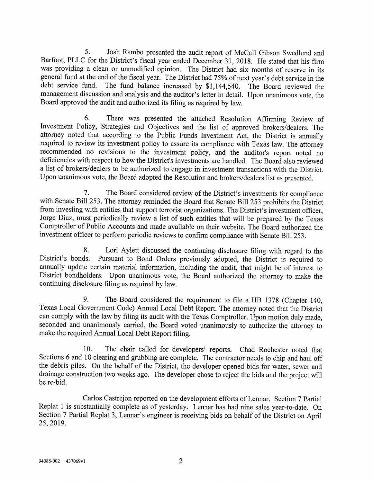5. Josh Rambo presented the audit report of McCall Gibson Swedlund and Barfoot, PLLC for the District's fiscal year ended December 31, 2018. He stated that his firm was providing a clean or unmodified opinion. The District general fund at the end of the fiscal year. The District had 75% of next year's debt service in the debt service fund. The fund balance increased by \$1,144,540. The Board reviewed the management discussion and analysis and the auditor's letter in detail. Upon unanimous vote, the Board approved the audit and authorized its filing as required by law.

6. There was presented the attached Resolution Affirming Review of Investment Policy, Strategies and Objectives and the list of approved brokers/dealers. The attorney noted that according to the Public Funds Investment Act, the District is annually required to review its investment policy to assure its compliance with Texas law. The attorney recommended no revisions to the investment policy, and the auditor's report noted no deficiencies with respect to how the District's investments are handled. The Board also reviewed a list of brokers/dealers to be authorized to engage in investment transactions with the District. Upon unanimous vote, the Board adopted the Resolution and brokers/dealers list as presented.

7. The Board considered review of the District's investments for compliance with Senate Bill 253. The attorney reminded the Board that Senate Bill 253 prohibits the District from investing with entities that support terrorist organizations. The District's investment officer, Jorge Diaz, must periodically review a list of such entities that will be prepared by the Texas Comptroller of Public Accounts and made available on their website. The Board authorized the investment officer to perform periodic reviews to confirm compliance with Senate Bill 253.

8. Lori Aylett discussed the continuing disclosure filing with regard to the District's bonds. Pursuant to Bond Orders previously adopted, the District is required to annually update certain material information, including

9. The Board considered the requirement to file a HB 1378 (Chapter 140, Texas Local Government Code) Annual Local Debt Report. The attorney noted that the District seconded and unanimously carried, the Board voted unanimously to authorize the attorney to make the required Annual Local Debt Report filing.

10. The chair called for developers' reports. Chad Rochester noted that Sections 6 and 10 clearing and grubbing are complete. The contractor needs to chip and haul off the debris piles. On the behalf of the District, the developer opened bids for water, sewer and drainage construction two weeks ago. The developer chose to reject the bids and the project will be re-bid.

Carlos Castrejon reported on the development efforts of Lennar. Section 7 Partial Replat 1 is substantially complete as of yesterday. Lennar has had nine sales year-to-date. On Section 7 Partial Replat 3, Lennar's engineer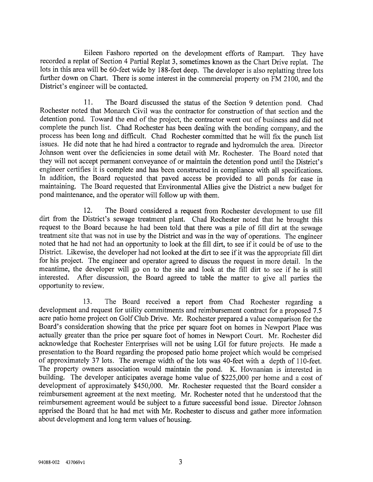Eileen Fashoro reported on the development efforts of Rampart. They have recorded a replat of Section 4 Partial Replat 3, sometimes known as the Chart Drive replat. The lots in this area will be 60-feet wide by 1 88-feet deep. The developer is also replatting three lots further down on Chart. There is some interest in the commercial property on FM 2100, and the District's engineer will be contacted.

11. The Board discussed the status of the Section 9 detention pond. Chad Rochester noted that Monarch Civil was the contractor for construction of that section and the detention pond. Toward the end of the project, the contractor went out of business and did not complete the punch list. Chad Rochester has been dealing with the bonding company, and the process has been long and difficult. Chad Rochester committed that he will fix the punch list issues. He did note that he had hired a contractor to regrade and hydromulch the area. Director Johnson went over the deficiencies in some detail with Mr. Rochester. The Board noted that they will not accept permanent conveyance of or maintain the detention pond until the District's engineer certifies it is complete and has been constructed in compliance with all specifications. In addition, the Board requested that paved access be provided to all ponds for ease in maintaining. The Board requested that Environmental Allies give the District a new budget for pond maintenance, and the operator will follow up with them.

12. The Board considered a request from Rochester development to use fill dirt from the District's sewage treatment plant. Chad Rochester noted that he brought this request to the Board because he had been told that there was a pile of fill dirt at the sewage treatment site that was not in use by the District and was in the way of operations. The engineer noted that he had not had an opportunity to look at the fill dirt, to see if it could be of use to the District. Likewise, the developer had not looked at the dirt to see if it was the appropriate fill dirt for his project. The engineer and operator agreed to discuss the request in more detail. In the meantime, the developer will go on to the site and look at the fill dirt to see if he is still interested. After discussion, the Board agreed to table the matter to give all parties the opportunity to review.

13. The Board received a report from Chad Rochester regarding a development and request for utility commitments and reimbursement contract for a proposed 7.5 acre patio home project on Golf Club Drive. Mr. Rochester prepared a value comparison for the Board's consideration showing that the price per square foot on homes in Newport Place was actually greater than the price per square foot of homes in Newport Court. Mr. Rochester did acknowledge that Rochester Enterprises will not be using LGI for future projects. He made a presentation to the Board regarding the proposed patio home project which would be comprised of approximately 37 lots. The average width of the lots was 40-feet with a depth of 110-feet. The property owners association would maintain the pond. K. Hovnanian is interested in building. The developer anticipates average home value of \$225,000 per home and a cost of development of approximately \$450,000. Mr. Ro reimbursement agreement at the next meeting. Mr. Rochester noted that he understood that the reimbursement agreement would be subject to a future successful bond issue. Director Johnson apprised the Board that he had met with Mr. Rochester to discuss and gather more information about development and long term values of housing.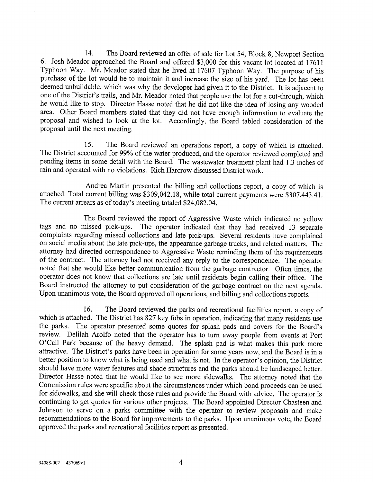14. The Board reviewed an offer of sale for Lot 54, Block 8, Newport Section 6. Josh Meador approached the Board and offered \$3,000 for this vacant lot located at 17611 Typhoon Way. Mr. Meador stated that he lived at 17607 Typhoon Way. The purpose of his purchase of the lot would be to maintain it and increase the size of his yard. The lot has been deemed unbuildable, which was why the developer had given it to the District. It is adjacent to one of the District's trails, and Mr. Meador noted that people use the lot for a cut-through, which he would like to stop. Director Hasse noted that he did not like the idea of losing any wooded area. Other Board members stated that they did not have enough information to evaluate the proposal and wished to look at the lot. Accordingly, the Board tabled consideration of the proposal until the next meeting.

15. The Board reviewed an operations report, a copy of which is attached. The District accounted for 99% of the water produced, and the operator reviewed completed and pending items in some detail with the Board. The wastewater treatment plant had 1.3 inches of rain and operated with no violations. Rich Harcrow discussed District work.

Andrea Martin presented the billing and collections report, a copy of which is attached. Total current billing was \$309,042.18, while total current payments were \$307,443.41. The current arrears as of today's meeting total

The Board reviewed the report of Aggressive Waste which indicated no yellow tags and no missed pick-ups. The operator indicated that they had received 13 separate complaints regarding missed collections and late pick-ups. Several residents have complained on social media about the late pick-ups, the appearance garbage trucks, and related matters. The of the contract. The attorney had not received any reply to the correspondence. The operator noted that she would like better communication from the garbage contractor. Often times, the operator does not know that collections are late until residents begin calling their office. The Board instructed the attorney to put consideration of the garbage contract on the next agenda. Upon unanimous vote, the Board approved all operations, and billing and collections reports.

16. The Board reviewed the parks and recreational facilities report, a copy of which is attached. The District has 827 key fobs in operation, indicating that many residents use the parks. The operator presented some quotes for splash pads and covers for the Board's review. Delilah Arolfo noted that the operator has to turn away people from events at Port 0'Call Park because of the heavy demand. The splash pad is what makes this park more attractive. The District's parks have been in operation for some years now, and the Board is in a<br>better position to know what is being used and what is not. In the operator's opinion, the District<br>should have more water f Director Hasse noted that he would like to see more sidewalks. The attorney noted that the Commission rules were specific about the circumstances under which bond proceeds can be used<br>for sidewalks, and she will check those rules and provide the Board with advice. The operator is<br>continuing to get quotes for var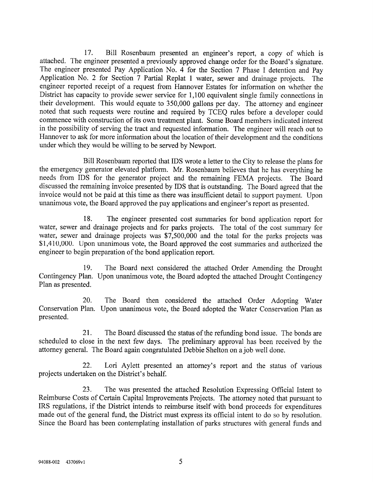17. Bill Rosenbaum presented an engineer's report, a copy of which is attached. The engineer presented a previously approved change order for the Board's signature. The engineer presented Pay Application No. 4 for the Section 7 Phase I detention and Pay Application No. 2 for Section 7 Partial Replat 1 water, sewer and drainage projects. The engineer reported receipt of a request from Hannover Estates for information on whether the District has capacity to provide sewer service for 1,100 equivalent single family connections in their development. This would equate to 350,000 gallons per day. The attorney and engineer noted that such requests were routine and required by TCEQ rules before a developer could commence with construction of its own treatment plant. Some Board members indicated interest in the possibility of serving the tract and requested information. The engineer will reach out to Hannover to ask for more information about the location of their development and the conditions under which they would be willing to be served by Newport.

Bill Rosenbaum reported that IDS wrote a letter to the City to release the plans for the emergency generator elevated platform. Mr. Rosenbaum believes that he has everything he needs from IDS for the generator project and the remaining FEMA projects. The Board discussed the remaining invoice presented by IDS that is outstanding. The Board agreed that the invoice would not be paid at this time as there was insufficient detail to support payment. Upon unanimous vote, the Board approved the pay applications and engineer's report as presented.

18. The engineer presented cost summaries for bond application report for water, sewer and drainage projects and for parks projects. The total of the cost summary for water, sewer and drainage projects was \$7,500,000 and the total for the parks projects was \$1,410,000. Upon unanimous vote, the Board approved the cost summaries and authorized the engineer to begin preparation of the bond application report.

19. The Board next considered the attached Order Amending the Drought Contingency Plan. Upon unanimous vote, the Board adopted the attached Drought Contingency Plan as presented.

20. The Board then considered the attached Order Adopting Water Conservation Plan. Upon unanimous vote, the Board adopted the Water Conservation Plan as presented.

21. The Board discussed the status of the refunding bond issue. The bonds are scheduled to close in the next few days. The preliminary approval has been received by the attorney general. The Board again congratulated Debbie Shelton on a job well done.

22. Lori Aylett presented an attorney's report and the status of various projects undertaken on the District's behalf.

23. The was presented the attached Resolution Expressing Official Intent to Reimburse Costs of Certain Capital Improvements Projects. The attorney noted that pursuant to IRS regulations, if the District intends to reimburse itself with bond proceeds for expenditures made out of the general fund, the District must express its official intent to do so by resolution. Since the Board has been contemplating installation of parks structures with general funds and